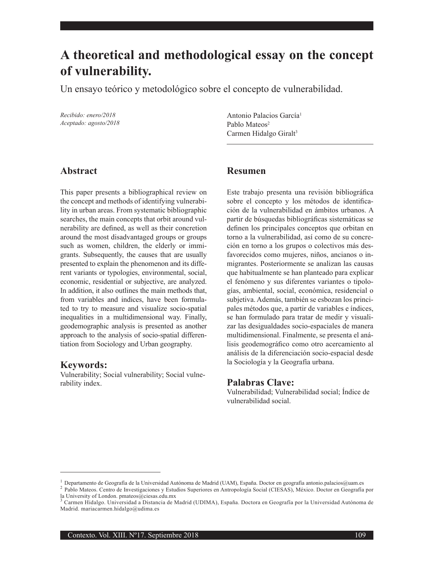# **A theoretical and methodological essay on the concept of vulnerability.**

Un ensayo teórico y metodológico sobre el concepto de vulnerabilidad.

*Recibido: enero/2018 Aceptado: agosto/2018*

Antonio Palacios García<sup>1</sup> Pablo Mateos<sup>2</sup> Carmen Hidalgo Giralt<sup>3</sup>

## **Abstract**

This paper presents a bibliographical review on the concept and methods of identifying vulnerability in urban areas. From systematic bibliographic searches, the main concepts that orbit around vulnerability are defined, as well as their concretion around the most disadvantaged groups or groups such as women, children, the elderly or immigrants. Subsequently, the causes that are usually presented to explain the phenomenon and its different variants or typologies, environmental, social, economic, residential or subjective, are analyzed. In addition, it also outlines the main methods that, from variables and indices, have been formulated to try to measure and visualize socio-spatial inequalities in a multidimensional way. Finally, geodemographic analysis is presented as another approach to the analysis of socio-spatial differentiation from Sociology and Urban geography.

#### **Keywords:**

Vulnerability; Social vulnerability; Social vulnerability index.

## **Resumen**

Este trabajo presenta una revisión bibliográfica sobre el concepto y los métodos de identificación de la vulnerabilidad en ámbitos urbanos. A partir de búsquedas bibliográficas sistemáticas se definen los principales conceptos que orbitan en torno a la vulnerabilidad, así como de su concreción en torno a los grupos o colectivos más desfavorecidos como mujeres, niños, ancianos o inmigrantes. Posteriormente se analizan las causas que habitualmente se han planteado para explicar el fenómeno y sus diferentes variantes o tipologías, ambiental, social, económica, residencial o subjetiva. Además, también se esbozan los principales métodos que, a partir de variables e índices, se han formulado para tratar de medir y visualizar las desigualdades socio-espaciales de manera multidimensional. Finalmente, se presenta el análisis geodemográfico como otro acercamiento al análisis de la diferenciación socio-espacial desde la Sociología y la Geografía urbana.

## **Palabras Clave:**

Vulnerabilidad; Vulnerabilidad social; Índice de vulnerabilidad social.

<sup>&</sup>lt;sup>1</sup> Departamento de Geografía de la Universidad Autónoma de Madrid (UAM), España. Doctor en geografía antonio palacios@uam.es<br><sup>2</sup> Pablo Mateos. Centro de Investigaciones y Estudios Superiores en Antropología Social (CIESA la University of London. pmateos@ciesas.edu.mx

<sup>3</sup> Carmen Hidalgo. Universidad a Distancia de Madrid (UDIMA), España. Doctora en Geografía por la Universidad Autónoma de Madrid. mariacarmen.hidalgo@udima.es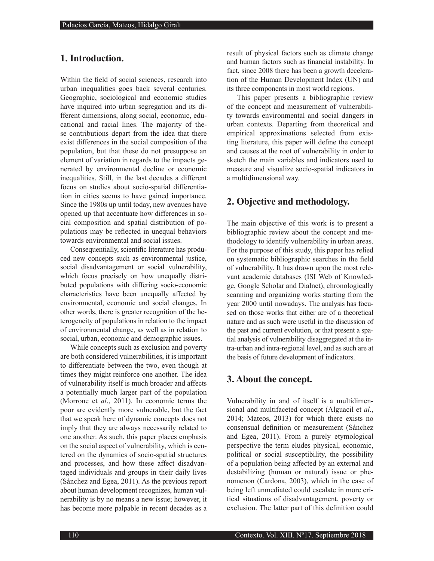## **1. Introduction.**

Within the field of social sciences, research into urban inequalities goes back several centuries. Geographic, sociological and economic studies have inquired into urban segregation and its different dimensions, along social, economic, educational and racial lines. The majority of these contributions depart from the idea that there exist differences in the social composition of the population, but that these do not presuppose an element of variation in regards to the impacts generated by environmental decline or economic inequalities. Still, in the last decades a different focus on studies about socio-spatial differentiation in cities seems to have gained importance. Since the 1980s up until today, new avenues have opened up that accentuate how differences in social composition and spatial distribution of populations may be reflected in unequal behaviors towards environmental and social issues.

Consequentially, scientific literature has produced new concepts such as environmental justice, social disadvantagement or social vulnerability, which focus precisely on how unequally distributed populations with differing socio-economic characteristics have been unequally affected by environmental, economic and social changes. In other words, there is greater recognition of the heterogeneity of populations in relation to the impact of environmental change, as well as in relation to social, urban, economic and demographic issues.

While concepts such as exclusion and poverty are both considered vulnerabilities, it is important to differentiate between the two, even though at times they might reinforce one another. The idea of vulnerability itself is much broader and affects a potentially much larger part of the population (Morrone et *al*., 2011). In economic terms the poor are evidently more vulnerable, but the fact that we speak here of dynamic concepts does not imply that they are always necessarily related to one another. As such, this paper places emphasis on the social aspect of vulnerability, which is centered on the dynamics of socio-spatial structures and processes, and how these affect disadvantaged individuals and groups in their daily lives (Sánchez and Egea, 2011). As the previous report about human development recognizes, human vulnerability is by no means a new issue; however, it has become more palpable in recent decades as a

result of physical factors such as climate change and human factors such as financial instability. In fact, since 2008 there has been a growth deceleration of the Human Development Index (UN) and its three components in most world regions.

This paper presents a bibliographic review of the concept and measurement of vulnerability towards environmental and social dangers in urban contexts. Departing from theoretical and empirical approximations selected from existing literature, this paper will define the concept and causes at the root of vulnerability in order to sketch the main variables and indicators used to measure and visualize socio-spatial indicators in a multidimensional way.

## **2. Objective and methodology.**

The main objective of this work is to present a bibliographic review about the concept and methodology to identify vulnerability in urban areas. For the purpose of this study, this paper has relied on systematic bibliographic searches in the field of vulnerability. It has drawn upon the most relevant academic databases (ISI Web of Knowledge, Google Scholar and Dialnet), chronologically scanning and organizing works starting from the year 2000 until nowadays. The analysis has focused on those works that either are of a theoretical nature and as such were useful in the discussion of the past and current evolution, or that present a spatial analysis of vulnerability disaggregated at the intra-urban and intra-regional level, and as such are at the basis of future development of indicators.

#### **3. About the concept.**

Vulnerability in and of itself is a multidimensional and multifaceted concept (Alguacil et *al*., 2014; Mateos, 2013) for which there exists no consensual definition or measurement (Sánchez and Egea, 2011). From a purely etymological perspective the term eludes physical, economic, political or social susceptibility, the possibility of a population being affected by an external and destabilizing (human or natural) issue or phenomenon (Cardona, 2003), which in the case of being left unmediated could escalate in more critical situations of disadvantagement, poverty or exclusion. The latter part of this definition could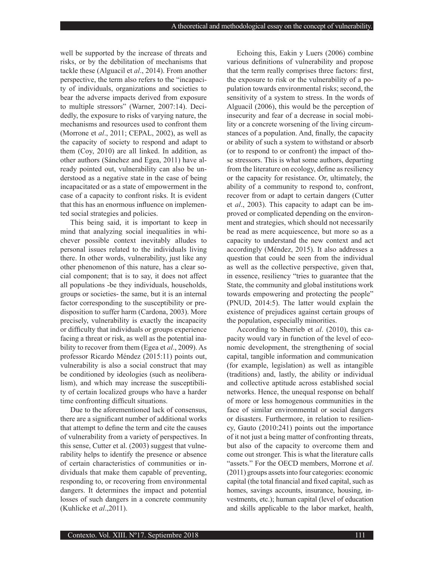well be supported by the increase of threats and risks, or by the debilitation of mechanisms that tackle these (Alguacil et *al*., 2014). From another perspective, the term also refers to the "incapacity of individuals, organizations and societies to bear the adverse impacts derived from exposure to multiple stressors" (Warner, 2007:14). Decidedly, the exposure to risks of varying nature, the mechanisms and resources used to confront them (Morrone et *al*., 2011; CEPAL, 2002), as well as the capacity of society to respond and adapt to them (Coy, 2010) are all linked. In addition, as other authors (Sánchez and Egea, 2011) have already pointed out, vulnerability can also be understood as a negative state in the case of being incapacitated or as a state of empowerment in the case of a capacity to confront risks. It is evident that this has an enormous influence on implemented social strategies and policies.

This being said, it is important to keep in mind that analyzing social inequalities in whichever possible context inevitably alludes to personal issues related to the individuals living there. In other words, vulnerability, just like any other phenomenon of this nature, has a clear social component; that is to say, it does not affect all populations -be they individuals, households, groups or societies- the same, but it is an internal factor corresponding to the susceptibility or predisposition to suffer harm (Cardona, 2003). More precisely, vulnerability is exactly the incapacity or difficulty that individuals or groups experience facing a threat or risk, as well as the potential inability to recover from them (Egea et *al*., 2009). As professor Ricardo Méndez (2015:11) points out, vulnerability is also a social construct that may be conditioned by ideologies (such as neoliberalism), and which may increase the susceptibility of certain localized groups who have a harder time confronting difficult situations.

Due to the aforementioned lack of consensus, there are a significant number of additional works that attempt to define the term and cite the causes of vulnerability from a variety of perspectives. In this sense, Cutter et al. (2003) suggest that vulnerability helps to identify the presence or absence of certain characteristics of communities or individuals that make them capable of preventing, responding to, or recovering from environmental dangers. It determines the impact and potential losses of such dangers in a concrete community (Kuhlicke et *al*.,2011).

Echoing this, Eakin y Luers (2006) combine various definitions of vulnerability and propose that the term really comprises three factors: first, the exposure to risk or the vulnerability of a population towards environmental risks; second, the sensitivity of a system to stress. In the words of Alguacil (2006), this would be the perception of insecurity and fear of a decrease in social mobility or a concrete worsening of the living circumstances of a population. And, finally, the capacity or ability of such a system to withstand or absorb (or to respond to or confront) the impact of those stressors. This is what some authors, departing from the literature on ecology, define as resiliency or the capacity for resistance. Or, ultimately, the ability of a community to respond to, confront, recover from or adapt to certain dangers (Cutter et *al*., 2003). This capacity to adapt can be improved or complicated depending on the environment and strategies, which should not necessarily be read as mere acquiescence, but more so as a capacity to understand the new context and act accordingly (Méndez, 2015). It also addresses a question that could be seen from the individual as well as the collective perspective, given that, in essence, resiliency "tries to guarantee that the State, the community and global institutions work towards empowering and protecting the people" (PNUD, 2014:5). The latter would explain the existence of prejudices against certain groups of the population, especially minorities.

According to Sherrieb et *al*. (2010), this capacity would vary in function of the level of economic development, the strengthening of social capital, tangible information and communication (for example, legislation) as well as intangible (traditions) and, lastly, the ability or individual and collective aptitude across established social networks. Hence, the unequal response on behalf of more or less homogenous communities in the face of similar environmental or social dangers or disasters. Furthermore, in relation to resiliency, Gauto (2010:241) points out the importance of it not just a being matter of confronting threats, but also of the capacity to overcome them and come out stronger. This is what the literature calls "assets." For the OECD members, Morrone et *al*. (2011) groups assets into four categories: economic capital (the total financial and fixed capital, such as homes, savings accounts, insurance, housing, investments, etc.); human capital (level of education and skills applicable to the labor market, health,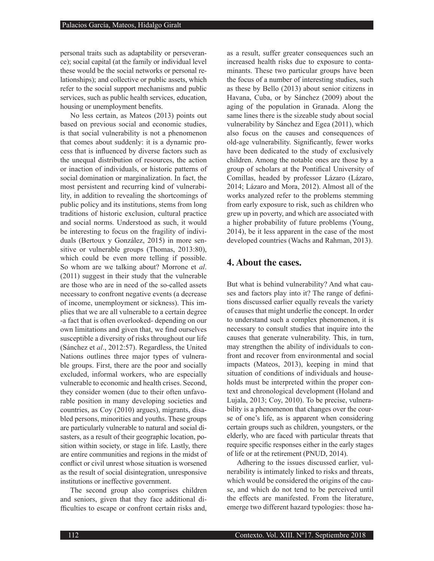personal traits such as adaptability or perseverance); social capital (at the family or individual level these would be the social networks or personal relationships); and collective or public assets, which refer to the social support mechanisms and public services, such as public health services, education, housing or unemployment benefits.

No less certain, as Mateos (2013) points out based on previous social and economic studies, is that social vulnerability is not a phenomenon that comes about suddenly: it is a dynamic process that is influenced by diverse factors such as the unequal distribution of resources, the action or inaction of individuals, or historic patterns of social domination or marginalization. In fact, the most persistent and recurring kind of vulnerability, in addition to revealing the shortcomings of public policy and its institutions, stems from long traditions of historic exclusion, cultural practice and social norms. Understood as such, it would be interesting to focus on the fragility of individuals (Bertoux y González, 2015) in more sensitive or vulnerable groups (Thomas, 2013:80), which could be even more telling if possible. So whom are we talking about? Morrone et *al*. (2011) suggest in their study that the vulnerable are those who are in need of the so-called assets necessary to confront negative events (a decrease of income, unemployment or sickness). This implies that we are all vulnerable to a certain degree -a fact that is often overlooked- depending on our own limitations and given that, we find ourselves susceptible a diversity of risks throughout our life (Sánchez et *al*., 2012:57). Regardless, the United Nations outlines three major types of vulnerable groups. First, there are the poor and socially excluded, informal workers, who are especially vulnerable to economic and health crises. Second, they consider women (due to their often unfavorable position in many developing societies and countries, as Coy (2010) argues), migrants, disabled persons, minorities and youths. These groups are particularly vulnerable to natural and social disasters, as a result of their geographic location, position within society, or stage in life. Lastly, there are entire communities and regions in the midst of conflict or civil unrest whose situation is worsened as the result of social disintegration, unresponsive institutions or ineffective government.

The second group also comprises children and seniors, given that they face additional difficulties to escape or confront certain risks and,

as a result, suffer greater consequences such an increased health risks due to exposure to contaminants. These two particular groups have been the focus of a number of interesting studies, such as these by Bello (2013) about senior citizens in Havana, Cuba, or by Sánchez (2009) about the aging of the population in Granada. Along the same lines there is the sizeable study about social vulnerability by Sánchez and Egea (2011), which also focus on the causes and consequences of old-age vulnerability. Significantly, fewer works have been dedicated to the study of exclusively children. Among the notable ones are those by a group of scholars at the Pontifical University of Comillas, headed by professor Lázaro (Lázaro, 2014; Lázaro and Mora, 2012). Almost all of the works analyzed refer to the problems stemming from early exposure to risk, such as children who grew up in poverty, and which are associated with a higher probability of future problems (Young, 2014), be it less apparent in the case of the most developed countries (Wachs and Rahman, 2013).

#### **4. About the cases.**

But what is behind vulnerability? And what causes and factors play into it? The range of definitions discussed earlier equally reveals the variety of causes that might underlie the concept. In order to understand such a complex phenomenon, it is necessary to consult studies that inquire into the causes that generate vulnerability. This, in turn, may strengthen the ability of individuals to confront and recover from environmental and social impacts (Mateos, 2013), keeping in mind that situation of conditions of individuals and households must be interpreted within the proper context and chronological development (Holand and Lujala, 2013; Coy, 2010). To be precise, vulnerability is a phenomenon that changes over the course of one's life, as is apparent when considering certain groups such as children, youngsters, or the elderly, who are faced with particular threats that require specific responses either in the early stages of life or at the retirement (PNUD, 2014).

Adhering to the issues discussed earlier, vulnerability is intimately linked to risks and threats, which would be considered the origins of the cause, and which do not tend to be perceived until the effects are manifested. From the literature, emerge two different hazard typologies: those ha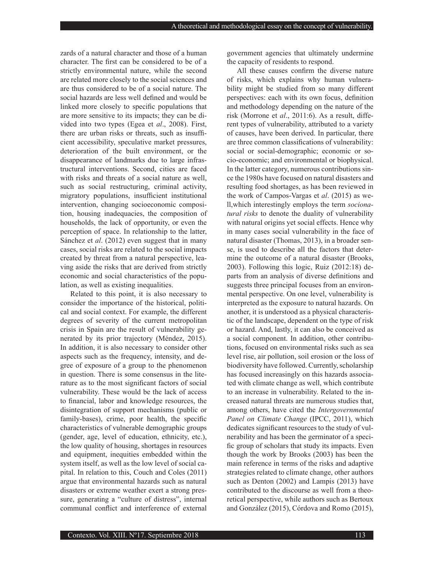zards of a natural character and those of a human character. The first can be considered to be of a strictly environmental nature, while the second are related more closely to the social sciences and are thus considered to be of a social nature. The social hazards are less well defined and would be linked more closely to specific populations that are more sensitive to its impacts; they can be divided into two types (Egea et *al*., 2008). First, there are urban risks or threats, such as insufficient accessibility, speculative market pressures, deterioration of the built environment, or the disappearance of landmarks due to large infrastructural interventions. Second, cities are faced with risks and threats of a social nature as well, such as social restructuring, criminal activity, migratory populations, insufficient institutional intervention, changing socioeconomic composition, housing inadequacies, the composition of households, the lack of opportunity, or even the perception of space. In relationship to the latter, Sánchez et *al*. (2012) even suggest that in many cases, social risks are related to the social impacts created by threat from a natural perspective, leaving aside the risks that are derived from strictly economic and social characteristics of the population, as well as existing inequalities.

Related to this point, it is also necessary to consider the importance of the historical, political and social context. For example, the different degrees of severity of the current metropolitan crisis in Spain are the result of vulnerability generated by its prior trajectory (Méndez, 2015). In addition, it is also necessary to consider other aspects such as the frequency, intensity, and degree of exposure of a group to the phenomenon in question. There is some consensus in the literature as to the most significant factors of social vulnerability. These would be the lack of access to financial, labor and knowledge resources, the disintegration of support mechanisms (public or family-bases), crime, poor health, the specific characteristics of vulnerable demographic groups (gender, age, level of education, ethnicity, etc.), the low quality of housing, shortages in resources and equipment, inequities embedded within the system itself, as well as the low level of social capital. In relation to this, Couch and Coles (2011) argue that environmental hazards such as natural disasters or extreme weather exert a strong pressure, generating a "culture of distress", internal communal conflict and interference of external

government agencies that ultimately undermine the capacity of residents to respond.

All these causes confirm the diverse nature of risks, which explains why human vulnerability might be studied from so many different perspectives: each with its own focus, definition and methodology depending on the nature of the risk (Morrone et *al*., 2011:6). As a result, different types of vulnerability, attributed to a variety of causes, have been derived. In particular, there are three common classifications of vulnerability: social or social-demographic; economic or socio-economic; and environmental or biophysical. In the latter category, numerous contributions since the 1980s have focused on natural disasters and resulting food shortages, as has been reviewed in the work of Campos-Vargas et *al*. (2015) as well,which interestingly employs the term *socionatural risks* to denote the duality of vulnerability with natural origins yet social effects. Hence why in many cases social vulnerability in the face of natural disaster (Thomas, 2013), in a broader sense, is used to describe all the factors that determine the outcome of a natural disaster (Brooks, 2003). Following this logic, Ruiz (2012:18) departs from an analysis of diverse definitions and suggests three principal focuses from an environmental perspective. On one level, vulnerability is interpreted as the exposure to natural hazards. On another, it is understood as a physical characteristic of the landscape, dependent on the type of risk or hazard. And, lastly, it can also be conceived as a social component. In addition, other contributions, focused on environmental risks such as sea level rise, air pollution, soil erosion or the loss of biodiversity have followed. Currently, scholarship has focused increasingly on this hazards associated with climate change as well, which contribute to an increase in vulnerability. Related to the increased natural threats are numerous studies that, among others, have cited the *Intergovernmental Panel on Climate Change* (IPCC, 2011), which dedicates significant resources to the study of vulnerability and has been the germinator of a specific group of scholars that study its impacts. Even though the work by Brooks (2003) has been the main reference in terms of the risks and adaptive strategies related to climate change, other authors such as Denton (2002) and Lampis (2013) have contributed to the discourse as well from a theoretical perspective, while authors such as Bertoux and González (2015), Córdova and Romo (2015),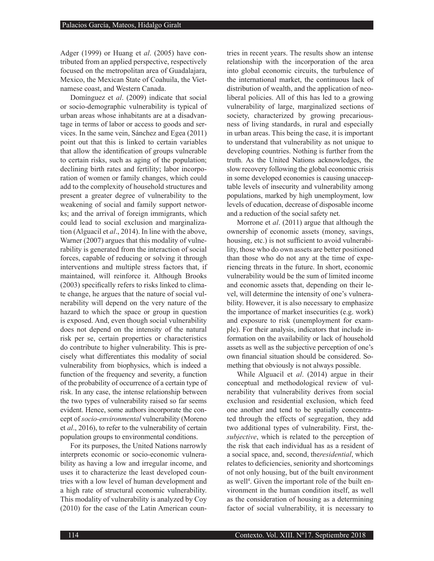Adger (1999) or Huang et *al*. (2005) have contributed from an applied perspective, respectively focused on the metropolitan area of Guadalajara, Mexico, the Mexican State of Coahuila, the Vietnamese coast, and Western Canada.

Domínguez et *al*. (2009) indicate that social or socio-demographic vulnerability is typical of urban areas whose inhabitants are at a disadvantage in terms of labor or access to goods and services. In the same vein, Sánchez and Egea (2011) point out that this is linked to certain variables that allow the identification of groups vulnerable to certain risks, such as aging of the population; declining birth rates and fertility; labor incorporation of women or family changes, which could add to the complexity of household structures and present a greater degree of vulnerability to the weakening of social and family support networks; and the arrival of foreign immigrants, which could lead to social exclusion and marginalization (Alguacil et *al*., 2014). In line with the above, Warner (2007) argues that this modality of vulnerability is generated from the interaction of social forces, capable of reducing or solving it through interventions and multiple stress factors that, if maintained, will reinforce it. Although Brooks (2003) specifically refers to risks linked to climate change, he argues that the nature of social vulnerability will depend on the very nature of the hazard to which the space or group in question is exposed. And, even though social vulnerability does not depend on the intensity of the natural risk per se, certain properties or characteristics do contribute to higher vulnerability. This is precisely what differentiates this modality of social vulnerability from biophysics, which is indeed a function of the frequency and severity, a function of the probability of occurrence of a certain type of risk. In any case, the intense relationship between the two types of vulnerability raised so far seems evident. Hence, some authors incorporate the concept of *socio-environmental* vulnerability (Moreno et *al*., 2016), to refer to the vulnerability of certain population groups to environmental conditions.

For its purposes, the United Nations narrowly interprets economic or socio-economic vulnerability as having a low and irregular income, and uses it to characterize the least developed countries with a low level of human development and a high rate of structural economic vulnerability. This modality of vulnerability is analyzed by Coy (2010) for the case of the Latin American coun-

tries in recent years. The results show an intense relationship with the incorporation of the area into global economic circuits, the turbulence of the international market, the continuous lack of distribution of wealth, and the application of neoliberal policies. All of this has led to a growing vulnerability of large, marginalized sections of society, characterized by growing precariousness of living standards, in rural and especially in urban areas. This being the case, it is important to understand that vulnerability as not unique to developing countries. Nothing is further from the truth. As the United Nations acknowledges, the slow recovery following the global economic crisis in some developed economies is causing unacceptable levels of insecurity and vulnerability among populations, marked by high unemployment, low levels of education, decrease of disposable income and a reduction of the social safety net.

Morrone et *al*. (2011) argue that although the ownership of economic assets (money, savings, housing, etc.) is not sufficient to avoid vulnerability, those who do own assets are better positioned than those who do not any at the time of experiencing threats in the future. In short, economic vulnerability would be the sum of limited income and economic assets that, depending on their level, will determine the intensity of one's vulnerability. However, it is also necessary to emphasize the importance of market insecurities (e.g. work) and exposure to risk (unemployment for example). For their analysis, indicators that include information on the availability or lack of household assets as well as the subjective perception of one's own financial situation should be considered. Something that obviously is not always possible.

While Alguacil et *al*. (2014) argue in their conceptual and methodological review of vulnerability that vulnerability derives from social exclusion and residential exclusion, which feed one another and tend to be spatially concentrated through the effects of segregation, they add two additional types of vulnerability. First, the*subjective*, which is related to the perception of the risk that each individual has as a resident of a social space, and, second, the*residential*, which relates to deficiencies, seniority and shortcomings of not only housing, but of the built environment as well<sup>4</sup>. Given the important role of the built environment in the human condition itself, as well as the consideration of housing as a determining factor of social vulnerability, it is necessary to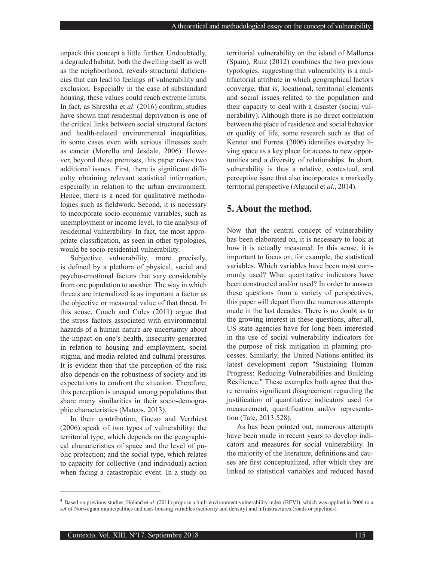unpack this concept a little further. Undoubtedly, a degraded habitat, both the dwelling itself as well as the neighborhood, reveals structural deficiencies that can lead to feelings of vulnerability and exclusion. Especially in the case of substandard housing, these values could reach extreme limits. In fact, as Shrestha et *al*. (2016) confirm, studies have shown that residential deprivation is one of the critical links between social structural factors and health-related environmental inequalities, in some cases even with serious illnesses such as cancer (Morello and Jesdale, 2006). However, beyond these premises, this paper raises two additional issues. First, there is significant difficulty obtaining relevant statistical information, especially in relation to the urban environment. Hence, there is a need for qualitative methodologies such as fieldwork. Second, it is necessary to incorporate socio-economic variables, such as unemployment or income level, to the analysis of residential vulnerability. In fact, the most appropriate classification, as seen in other typologies, would be socio-residential vulnerability.

Subjective vulnerability, more precisely, is defined by a plethora of physical, social and psycho-emotional factors that vary considerably from one population to another. The way in which threats are internalized is as important a factor as the objective or measured value of that threat. In this sense, Couch and Coles (2011) argue that the stress factors associated with environmental hazards of a human nature are uncertainty about the impact on one's health, insecurity generated in relation to housing and employment, social stigma, and media-related and cultural pressures. It is evident then that the perception of the risk also depends on the robustness of society and its expectations to confront the situation. Therefore, this perception is unequal among populations that share many similarities in their socio-demographic characteristics (Mateos, 2013).

In their contribution, Guezo and Verrhiest (2006) speak of two types of vulnerability: the territorial type, which depends on the geographical characteristics of space and the level of public protection; and the social type, which relates to capacity for collective (and individual) action when facing a catastrophic event. In a study on

territorial vulnerability on the island of Mallorca (Spain), Ruiz (2012) combines the two previous typologies, suggesting that vulnerability is a multifactorial attribute in which geographical factors converge, that is, locational, territorial elements and social issues related to the population and their capacity to deal with a disaster (social vulnerability). Although there is no direct correlation between the place of residence and social behavior or quality of life, some research such as that of Kennet and Forrest (2006) identifies everyday living space as a key place for access to new opportunities and a diversity of relationships. In short, vulnerability is thus a relative, contextual, and perceptive issue that also incorporates a markedly territorial perspective (Alguacil et *al*., 2014).

## **5. About the method.**

Now that the central concept of vulnerability has been elaborated on, it is necessary to look at how it is actually measured. In this sense, it is important to focus on, for example, the statistical variables. Which variables have been most commonly used? What quantitative indicators have been constructed and/or used? In order to answer these questions from a variety of perspectives, this paper will depart from the numerous attempts made in the last decades. There is no doubt as to the growing interest in these questions, after all, US state agencies have for long been interested in the use of social vulnerability indicators for the purpose of risk mitigation in planning processes. Similarly, the United Nations entitled its latest development report "Sustaining Human Progress: Reducing Vulnerabilities and Building Resilience." These examples both agree that there remains significant disagreement regarding the justification of quantitative indicators used for measurement, quantification and/or representation (Tate, 2013:528).

As has been pointed out, numerous attempts have been made in recent years to develop indicators and measures for social vulnerability. In the majority of the literature, definitions and causes are first conceptualized, after which they are linked to statistical variables and reduced based

<sup>4</sup> Based on previous studies, Holand et *al*. (2011) propose a built-environment vulnerability index (BEVI), which was applied in 2006 to a set of Norwegian municipalities and uses housing variables (seniority and density) and infrastructures (roads or pipelines).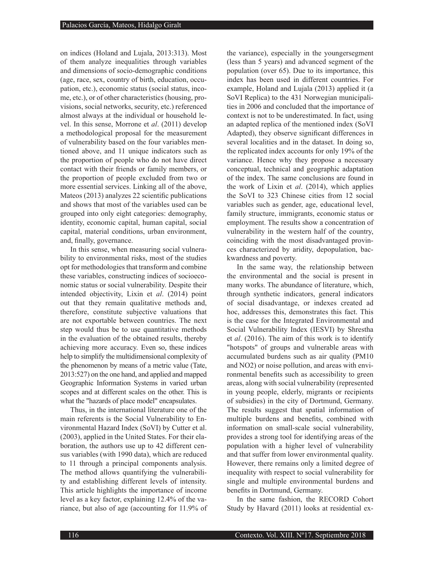on indices (Holand and Lujala, 2013:313). Most of them analyze inequalities through variables and dimensions of socio-demographic conditions (age, race, sex, country of birth, education, occupation, etc.), economic status (social status, income, etc.), or of other characteristics (housing, provisions, social networks, security, etc.) referenced almost always at the individual or household level. In this sense, Morrone et *al*. (2011) develop a methodological proposal for the measurement of vulnerability based on the four variables mentioned above, and 11 unique indicators such as the proportion of people who do not have direct contact with their friends or family members, or the proportion of people excluded from two or more essential services. Linking all of the above, Mateos (2013) analyzes 22 scientific publications and shows that most of the variables used can be grouped into only eight categories: demography, identity, economic capital, human capital, social capital, material conditions, urban environment, and, finally, governance.

In this sense, when measuring social vulnerability to environmental risks, most of the studies opt for methodologies that transform and combine these variables, constructing indices of socioeconomic status or social vulnerability. Despite their intended objectivity, Lixin et *al*. (2014) point out that they remain qualitative methods and, therefore, constitute subjective valuations that are not exportable between countries. The next step would thus be to use quantitative methods in the evaluation of the obtained results, thereby achieving more accuracy. Even so, these indices help to simplify the multidimensional complexity of the phenomenon by means of a metric value (Tate, 2013:527) on the one hand, and applied and mapped Geographic Information Systems in varied urban scopes and at different scales on the other. This is what the "hazards of place model" encapsulates.

Thus, in the international literature one of the main referents is the Social Vulnerability to Environmental Hazard Index (SoVI) by Cutter et al. (2003), applied in the United States. For their elaboration, the authors use up to 42 different census variables (with 1990 data), which are reduced to 11 through a principal components analysis. The method allows quantifying the vulnerability and establishing different levels of intensity. This article highlights the importance of income level as a key factor, explaining 12.4% of the variance, but also of age (accounting for 11.9% of

the variance), especially in the youngersegment (less than 5 years) and advanced segment of the population (over 65). Due to its importance, this index has been used in different countries. For example, Holand and Lujala (2013) applied it (a SoVI Replica) to the 431 Norwegian municipalities in 2006 and concluded that the importance of context is not to be underestimated. In fact, using an adapted replica of the mentioned index (SoVI Adapted), they observe significant differences in several localities and in the dataset. In doing so, the replicated index accounts for only 19% of the variance. Hence why they propose a necessary conceptual, technical and geographic adaptation of the index. The same conclusions are found in the work of Lixin et *al*. (2014), which applies the SoVI to 323 Chinese cities from 12 social variables such as gender, age, educational level, family structure, immigrants, economic status or employment. The results show a concentration of vulnerability in the western half of the country, coinciding with the most disadvantaged provinces characterized by aridity, depopulation, backwardness and poverty.

In the same way, the relationship between the environmental and the social is present in many works. The abundance of literature, which, through synthetic indicators, general indicators of social disadvantage, or indexes created ad hoc, addresses this, demonstrates this fact. This is the case for the Integrated Environmental and Social Vulnerability Index (IESVI) by Shrestha et *al*. (2016). The aim of this work is to identify "hotspots" of groups and vulnerable areas with accumulated burdens such as air quality (PM10 and NO2) or noise pollution, and areas with environmental benefits such as accessibility to green areas, along with social vulnerability (represented in young people, elderly, migrants or recipients of subsidies) in the city of Dortmund, Germany. The results suggest that spatial information of multiple burdens and benefits, combined with information on small-scale social vulnerability, provides a strong tool for identifying areas of the population with a higher level of vulnerability and that suffer from lower environmental quality. However, there remains only a limited degree of inequality with respect to social vulnerability for single and multiple environmental burdens and benefits in Dortmund, Germany.

In the same fashion, the RECORD Cohort Study by Havard (2011) looks at residential ex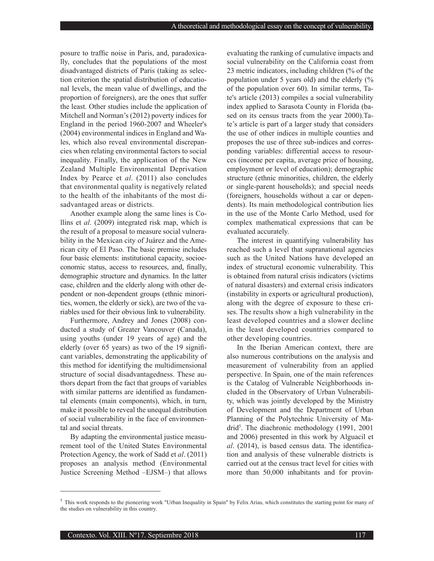posure to traffic noise in Paris, and, paradoxically, concludes that the populations of the most disadvantaged districts of Paris (taking as selection criterion the spatial distribution of educational levels, the mean value of dwellings, and the proportion of foreigners), are the ones that suffer the least. Other studies include the application of Mitchell and Norman's (2012) poverty indices for England in the period 1960-2007 and Wheeler's (2004) environmental indices in England and Wales, which also reveal environmental discrepancies when relating environmental factors to social inequality. Finally, the application of the New Zealand Multiple Environmental Deprivation Index by Pearce et *al*. (2011) also concludes that environmental quality is negatively related to the health of the inhabitants of the most disadvantaged areas or districts.

Another example along the same lines is Collins et *al*. (2009) integrated risk map, which is the result of a proposal to measure social vulnerability in the Mexican city of Juárez and the American city of El Paso. The basic premise includes four basic elements: institutional capacity, socioeconomic status, access to resources, and, finally, demographic structure and dynamics. In the latter case, children and the elderly along with other dependent or non-dependent groups (ethnic minorities, women, the elderly or sick), are two of the variables used for their obvious link to vulnerability.

Furthermore, Andrey and Jones (2008) conducted a study of Greater Vancouver (Canada), using youths (under 19 years of age) and the elderly (over 65 years) as two of the 19 significant variables, demonstrating the applicability of this method for identifying the multidimensional structure of social disadvantagedness. These authors depart from the fact that groups of variables with similar patterns are identified as fundamental elements (main components), which, in turn, make it possible to reveal the unequal distribution of social vulnerability in the face of environmental and social threats.

By adapting the environmental justice measurement tool of the United States Environmental Protection Agency, the work of Sadd et *al*. (2011) proposes an analysis method (Environmental Justice Screening Method –EJSM–) that allows

evaluating the ranking of cumulative impacts and social vulnerability on the California coast from 23 metric indicators, including children (% of the population under 5 years old) and the elderly (% of the population over 60). In similar terms, Tate's article (2013) compiles a social vulnerability index applied to Sarasota County in Florida (based on its census tracts from the year 2000).Tate's article is part of a larger study that considers the use of other indices in multiple counties and proposes the use of three sub-indices and corresponding variables: differential access to resources (income per capita, average price of housing, employment or level of education); demographic structure (ethnic minorities, children, the elderly or single-parent households); and special needs (foreigners, households without a car or dependents). Its main methodological contribution lies in the use of the Monte Carlo Method, used for complex mathematical expressions that can be evaluated accurately.

The interest in quantifying vulnerability has reached such a level that supranational agencies such as the United Nations have developed an index of structural economic vulnerability. This is obtained from natural crisis indicators (victims of natural disasters) and external crisis indicators (instability in exports or agricultural production), along with the degree of exposure to these crises. The results show a high vulnerability in the least developed countries and a slower decline in the least developed countries compared to other developing countries.

In the Iberian American context, there are also numerous contributions on the analysis and measurement of vulnerability from an applied perspective. In Spain, one of the main references is the Catalog of Vulnerable Neighborhoods included in the Observatory of Urban Vulnerability, which was jointly developed by the Ministry of Development and the Department of Urban Planning of the Polytechnic University of Madrid<sup>5</sup>. The diachronic methodology (1991, 2001) and 2006) presented in this work by Alguacil et *al*. (2014), is based census data. The identification and analysis of these vulnerable districts is carried out at the census tract level for cities with more than 50,000 inhabitants and for provin-

<sup>5</sup> This work responds to the pioneering work "Urban Inequality in Spain" by Felix Arias, which constitutes the starting point for many of the studies on vulnerability in this country.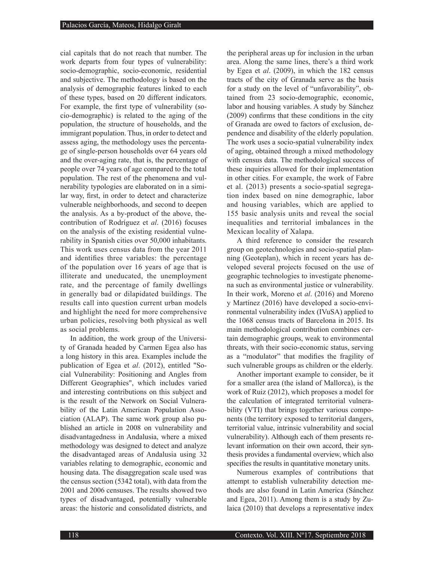cial capitals that do not reach that number. The work departs from four types of vulnerability: socio-demographic, socio-economic, residential and subjective. The methodology is based on the analysis of demographic features linked to each of these types, based on 20 different indicators. For example, the first type of vulnerability (socio-demographic) is related to the aging of the population, the structure of households, and the immigrant population. Thus, in order to detect and assess aging, the methodology uses the percentage of single-person households over 64 years old and the over-aging rate, that is, the percentage of people over 74 years of age compared to the total population. The rest of the phenomena and vulnerability typologies are elaborated on in a similar way, first, in order to detect and characterize vulnerable neighborhoods, and second to deepen the analysis. As a by-product of the above, thecontribution of Rodríguez et *al*. (2016) focuses on the analysis of the existing residential vulnerability in Spanish cities over 50,000 inhabitants. This work uses census data from the year 2011 and identifies three variables: the percentage of the population over 16 years of age that is illiterate and uneducated, the unemployment rate, and the percentage of family dwellings in generally bad or dilapidated buildings. The results call into question current urban models and highlight the need for more comprehensive urban policies, resolving both physical as well as social problems.

In addition, the work group of the University of Granada headed by Carmen Egea also has a long history in this area. Examples include the publication of Egea et *al*. (2012), entitled "Social Vulnerability: Positioning and Angles from Different Geographies", which includes varied and interesting contributions on this subject and is the result of the Network on Social Vulnerability of the Latin American Population Association (ALAP). The same work group also published an article in 2008 on vulnerability and disadvantagedness in Andalusia, where a mixed methodology was designed to detect and analyze the disadvantaged areas of Andalusia using 32 variables relating to demographic, economic and housing data. The disaggregation scale used was the census section (5342 total), with data from the 2001 and 2006 censuses. The results showed two types of disadvantaged, potentially vulnerable areas: the historic and consolidated districts, and

the peripheral areas up for inclusion in the urban area. Along the same lines, there's a third work by Egea et *al*. (2009), in which the 182 census tracts of the city of Granada serve as the basis for a study on the level of "unfavorability", obtained from 23 socio-demographic, economic, labor and housing variables. A study by Sánchez (2009) confirms that these conditions in the city of Granada are owed to factors of exclusion, dependence and disability of the elderly population. The work uses a socio-spatial vulnerability index of aging, obtained through a mixed methodology with census data. The methodological success of these inquiries allowed for their implementation in other cities. For example, the work of Fabre et al. (2013) presents a socio-spatial segregation index based on nine demographic, labor and housing variables, which are applied to 155 basic analysis units and reveal the social inequalities and territorial imbalances in the Mexican locality of Xalapa.

A third reference to consider the research group on geotechnologies and socio-spatial planning (Geoteplan), which in recent years has developed several projects focused on the use of geographic technologies to investigate phenomena such as environmental justice or vulnerability. In their work, Moreno et *al*. (2016) and Moreno y Martínez (2016) have developed a socio-environmental vulnerability index (IVuSA) applied to the 1068 census tracts of Barcelona in 2015. Its main methodological contribution combines certain demographic groups, weak to environmental threats, with their socio-economic status, serving as a "modulator" that modifies the fragility of such vulnerable groups as children or the elderly.

Another important example to consider, be it for a smaller area (the island of Mallorca), is the work of Ruiz (2012), which proposes a model for the calculation of integrated territorial vulnerability (VTI) that brings together various components (the territory exposed to territorial dangers, territorial value, intrinsic vulnerability and social vulnerability). Although each of them presents relevant information on their own accord, their synthesis provides a fundamental overview, which also specifies the results in quantitative monetary units.

Numerous examples of contributions that attempt to establish vulnerability detection methods are also found in Latin America (Sánchez and Egea, 2011). Among them is a study by Zulaica (2010) that develops a representative index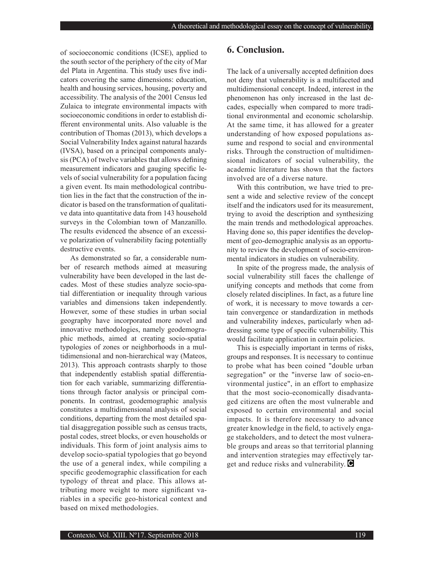of socioeconomic conditions (ICSE), applied to the south sector of the periphery of the city of Mar del Plata in Argentina. This study uses five indicators covering the same dimensions: education, health and housing services, housing, poverty and accessibility. The analysis of the 2001 Census led Zulaica to integrate environmental impacts with socioeconomic conditions in order to establish different environmental units. Also valuable is the contribution of Thomas (2013), which develops a Social Vulnerability Index against natural hazards (IVSA), based on a principal components analysis (PCA) of twelve variables that allows defining measurement indicators and gauging specific levels of social vulnerability for a population facing a given event. Its main methodological contribution lies in the fact that the construction of the indicator is based on the transformation of qualitative data into quantitative data from 143 household surveys in the Colombian town of Manzanillo. The results evidenced the absence of an excessive polarization of vulnerability facing potentially destructive events.

As demonstrated so far, a considerable number of research methods aimed at measuring vulnerability have been developed in the last decades. Most of these studies analyze socio-spatial differentiation or inequality through various variables and dimensions taken independently. However, some of these studies in urban social geography have incorporated more novel and innovative methodologies, namely geodemographic methods, aimed at creating socio-spatial typologies of zones or neighborhoods in a multidimensional and non-hierarchical way (Mateos, 2013). This approach contrasts sharply to those that independently establish spatial differentiation for each variable, summarizing differentiations through factor analysis or principal components. In contrast, geodemographic analysis constitutes a multidimensional analysis of social conditions, departing from the most detailed spatial disaggregation possible such as census tracts, postal codes, street blocks, or even households or individuals. This form of joint analysis aims to develop socio-spatial typologies that go beyond the use of a general index, while compiling a specific geodemographic classification for each typology of threat and place. This allows attributing more weight to more significant variables in a specific geo-historical context and based on mixed methodologies.

#### **6. Conclusion.**

The lack of a universally accepted definition does not deny that vulnerability is a multifaceted and multidimensional concept. Indeed, interest in the phenomenon has only increased in the last decades, especially when compared to more traditional environmental and economic scholarship. At the same time, it has allowed for a greater understanding of how exposed populations assume and respond to social and environmental risks. Through the construction of multidimensional indicators of social vulnerability, the academic literature has shown that the factors involved are of a diverse nature.

With this contribution, we have tried to present a wide and selective review of the concept itself and the indicators used for its measurement, trying to avoid the description and synthesizing the main trends and methodological approaches. Having done so, this paper identifies the development of geo-demographic analysis as an opportunity to review the development of socio-environmental indicators in studies on vulnerability.

In spite of the progress made, the analysis of social vulnerability still faces the challenge of unifying concepts and methods that come from closely related disciplines. In fact, as a future line of work, it is necessary to move towards a certain convergence or standardization in methods and vulnerability indexes, particularly when addressing some type of specific vulnerability. This would facilitate application in certain policies.

This is especially important in terms of risks, groups and responses. It is necessary to continue to probe what has been coined "double urban segregation" or the "inverse law of socio-environmental justice", in an effort to emphasize that the most socio-economically disadvantaged citizens are often the most vulnerable and exposed to certain environmental and social impacts. It is therefore necessary to advance greater knowledge in the field, to actively engage stakeholders, and to detect the most vulnerable groups and areas so that territorial planning and intervention strategies may effectively target and reduce risks and vulnerability.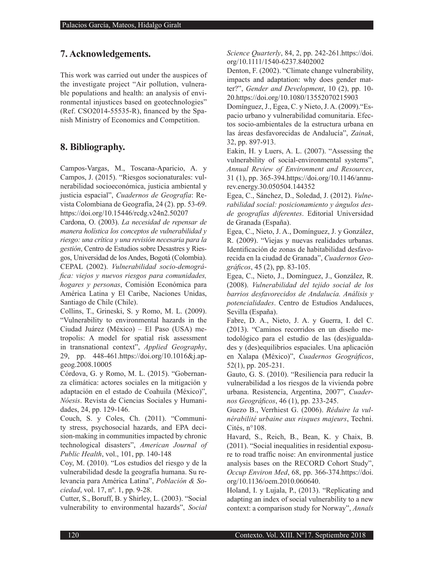## **7. Acknowledgements.**

This work was carried out under the auspices of the investigate project "Air pollution, vulnerable populations and health: an analysis of environmental injustices based on geotechnologies" (Ref. CSO2014-55535-R), financed by the Spanish Ministry of Economics and Competition.

## **8. Bibliography.**

Campos-Vargas, M., Toscana-Aparicio, A. y Campos, J. (2015). "Riesgos socionaturales: vulnerabilidad socioeconómica, justicia ambiental y justicia espacial", *Cuadernos de Geografía*: Revista Colombiana de Geografía, 24 (2). pp. 53-69. https://doi.org/10.15446/rcdg.v24n2.50207

Cardona, O. (2003). *La necesidad de repensar de manera holística los conceptos de vulnerabilidad y riesgo: una crítica y una revisión necesaria para la gestión*, Centro de Estudios sobre Desastres y Riesgos, Universidad de los Andes, Bogotá (Colombia). CEPAL (2002). *Vulnerabilidad socio-demográfica: viejos y nuevos riesgos para comunidades, hogares y personas*, Comisión Económica para América Latina y El Caribe, Naciones Unidas, Santiago de Chile (Chile).

Collins, T., Grineski, S. y Romo, M. L. (2009). "Vulnerability to environmental hazards in the Ciudad Juárez (México) – El Paso (USA) metropolis: A model for spatial risk assessment in transnational context", *Applied Geography*, 29, pp. 448-461.https://doi.org/10.1016&j.apgeog.2008.10005

Córdova, G. y Romo, M. L. (2015). "Gobernanza climática: actores sociales en la mitigación y adaptación en el estado de Coahuila (México)", *Nóesis*. Revista de Ciencias Sociales y Humanidades, 24, pp. 129-146.

Couch, S. y Coles, Ch. (2011). "Community stress, psychosocial hazards, and EPA decision-making in communities impacted by chronic technological disasters", *American Journal of Public Health*, vol., 101, pp. 140-148

Coy, M. (2010). "Los estudios del riesgo y de la vulnerabilidad desde la geografía humana. Su relevancia para América Latina", *Población & Sociedad*, vol. 17, nº. 1, pp. 9-28.

Cutter, S., Boruff, B. y Shirley, L. (2003). "Social vulnerability to environmental hazards", *Social*  *Science Quarterly*, 84, 2, pp. 242-261.https://doi. org/10.1111/1540-6237.8402002

Denton, F. (2002). "Climate change vulnerability, impacts and adaptation: why does gender matter?", *Gender and Development*, 10 (2), pp. 10- 20.https://doi.org/10.1080/13552070215903

Domínguez, J., Egea, C. y Nieto, J. A. (2009)."Espacio urbano y vulnerabilidad comunitaria. Efectos socio-ambientales de la estructura urbana en las áreas desfavorecidas de Andalucía", *Zainak*, 32, pp. 897-913.

Eakin, H. y Luers, A. L. (2007). "Assessing the vulnerability of social-environmental systems", *Annual Review of Environment and Resources*, 31 (1), pp. 365-394.https://doi.org/10.1146/annurev.energy.30.050504.144352

Egea, C., Sánchez, D., Soledad, J. (2012). *Vulnerabilidad social: posicionamiento y ángulos desde geografías diferentes*. Editorial Universidad de Granada (España).

Egea, C., Nieto, J. A., Domínguez, J. y González, R. (2009). "Viejas y nuevas realidades urbanas. Identificación de zonas de habitabilidad desfavorecida en la ciudad de Granada", *Cuadernos Geográficos*, 45 (2), pp. 83-105.

Egea, C., Nieto, J., Domínguez, J., González, R. (2008). *Vulnerabilidad del tejido social de los barrios desfavorecidos de Andalucía. Análisis y potencialidades*. Centro de Estudios Andaluces, Sevilla (España).

Fabre, D. A., Nieto, J. A. y Guerra, I. del C. (2013). "Caminos recorridos en un diseño metodológico para el estudio de las (des)igualdades y (des)equilibrios espaciales. Una aplicación en Xalapa (México)", *Cuadernos Geográficos*, 52(1), pp. 205-231.

Gauto, G. S. (2010). "Resiliencia para reducir la vulnerabilidad a los riesgos de la vivienda pobre urbana. Resistencia, Argentina, 2007", *Cuadernos Geográficos*, 46 (1), pp. 233-245.

Guezo B., Verrhiest G. (2006). *Réduire la vulnérabilité urbaine aux risques majeurs*, Techni. Cités, n°108.

Havard, S., Reich, B., Bean, K. y Chaix, B. (2011). "Social inequalities in residential exposure to road traffic noise: An environmental justice analysis bases on the RECORD Cohort Study", *Occup Environ Med*, 68, pp. 366-374.https://doi. org/10.1136/oem.2010.060640.

Holand, I. y Lujala, P., (2013). "Replicating and adapting an index of social vulnerability to a new context: a comparison study for Norway", *Annals*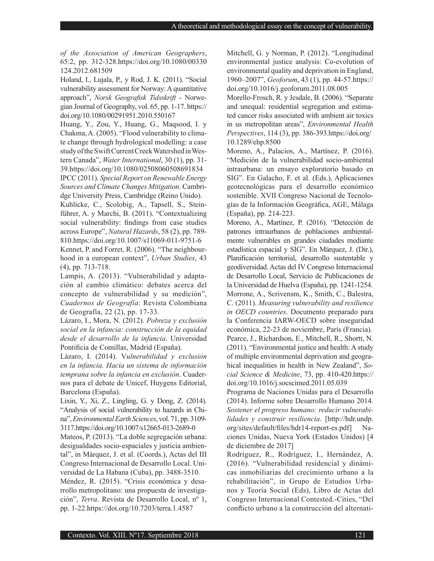*of the Association of American Geographers*, 65:2, pp. 312-328.https://doi.org/10.1080/00330 124.2012.681509

Holand, I., Lujala, P., y Rod, J. K. (2011). "Social vulnerability assessment for Norway: A quantitative approach", *Norsk Geografisk Tidsskrift* - Norwegian Journal of Geography, vol. 65, pp. 1-17. https:// doi.org/10.1080/00291951.2010.550167

Huang, Y., Zou, Y., Huang, G., Maqsood, I. y Chakma, A. (2005). "Flood vulnerability to climate change through hydrological modelling: a case study of the Swift Current Creek Watershed in Western Canada", *Water International*, 30 (1), pp. 31- 39.https://doi.org/10.1080/02508060508691834

IPCC (2011). *Special Report on Renewable Energy Sources and Climate Changes Mitigation*. Cambridge University Press, Cambridge (Reino Unido).

Kuhlicke, C., Scolobig, A., Tapsell, S., Steinführer, A. y Marchi, B. (2011). "Contextualizing social vulnerability: findings from case studies across Europe", *Natural Hazards*, 58 (2), pp. 789- 810.https://doi.org/10.1007/s11069-011-9751-6

Kennet, P. and Forret, R. (2006). "The neighbourhood in a european context", *Urban Studies*, 43 (4), pp. 713-718.

Lampis, A. (2013). "Vulnerabilidad y adaptación al cambio climático: debates acerca del concepto de vulnerabilidad y su medición", *Cuadernos de Geografía*: Revista Colombiana de Geografía, 22 (2), pp. 17-33.

Lázaro, I., Mora, N. (2012). *Pobreza y exclusión social en la infancia: construcción de la equidad desde el desarrollo de la infancia*. Universidad Pontificia de Comillas, Madrid (España).

Lázaro, I. (2014). V*ulnerabilidad y exclusión en la infancia. Hacia un sistema de información temprana sobre la infancia en exclusión*. Cuadernos para el debate de Unicef, Huygens Editorial, Barcelona (España).

Lixin, Y., Xi, Z., Lingling, G. y Dong, Z. (2014). "Analysis of social vulnerability to hazards in China", *Environmental Earth Sciences*, vol. 71, pp. 3109- 3117.https://doi.org/10.1007/s12665-013-2689-0

Mateos, P. (2013). "La doble segregación urbana: desigualdades socio-espaciales y justicia ambiental", in Márquez, J. et al. (Coords.), Actas del III Congreso Internacional de Desarrollo Local. Universidad de La Habana (Cuba), pp. 3488-3510. Méndez, R. (2015). "Crisis económica y desarrollo metropolitano: una propuesta de investigación", *Terra*. Revista de Desarrollo Local, nº 1, pp. 1-22.https://doi.org/10.7203/terra.1.4587

Mitchell, G. y Norman, P. (2012). "Longitudinal environmental justice analysis: Co-evolution of environmental quality and deprivation in England, 1960–2007", *Geoforum*, 43 (1), pp. 44-57.https:// doi.org/10.1016/j.geoforum.2011.08.005

Morello-Frosch, R. y Jesdale, B. (2006). "Separate and unequal: residential segregation and estimated cancer risks associated with ambient air toxics in us metropolitan areas", *Environmental Health Perspectives*, 114 (3), pp. 386-393.https://doi.org/ 10.1289/ehp.8500

Moreno, A., Palacios, A., Martínez, P. (2016). "Medición de la vulnerabilidad socio-ambiental intraurbana: un ensayo exploratorio basado en SIG". En Galacho, F. et al. (Eds.), Aplicaciones geotecnológicas para el desarrollo económico sostenible. XVII Congreso Nacional de Tecnologías de la Información Geográfica, AGE, Málaga (España), pp. 214-223.

Moreno, A., Martínez, P. (2016). "Detección de patrones intraurbanos de poblaciones ambientalmente vulnerables en grandes ciudades mediante estadística espacial y SIG". En Márquez, J. (Dir.), Planificación territorial, desarrollo sustentable y geodiversidad. Actas del IV Congreso Internacional de Desarrollo Local, Servicio de Publicaciones de la Universidad de Huelva (España), pp. 1241-1254. Morrone, A., Scrivensm, K., Smith, C., Balestra, C. (2011). *Measuring vulnerability and resilience in OECD countries*. Documento preparado para la Conferencia IARW-OECD sobre inseguridad económica, 22-23 de noviembre, París (Francia). Pearce, J., Richardson, E., Mitchell, R., Shortt, N. (2011). "Environmental justice and health: A study of multiple environmental deprivation and geograhical inequalities in health in New Zealand", *Social Science & Medicine*, 73, pp. 410-420.https:// doi.org/10.1016/j.socscimed.2011.05.039

Programa de Naciones Unidas para el Desarrollo (2014). Informe sobre Desarrollo Humano 2014. *Sostener el progreso humano: reducir vulnerabilidades y construir resiliencia*. [http://hdr.undp. org/sites/default/files/hdr14-report-es.pdf] Naciones Unidas, Nueva York (Estados Unidos) [4 de diciembre de 2017]

Rodríguez, R., Rodríguez, I., Hernández, A. (2016). "Vulnerabilidad residencial y dinámicas inmobiliarias del crecimiento urbano a la rehabilitación", in Grupo de Estudios Urbanos y Teoría Social (Eds), Libro de Actas del Congreso Internacional Contested.-Cities, "Del conflicto urbano a la construcción del alternati